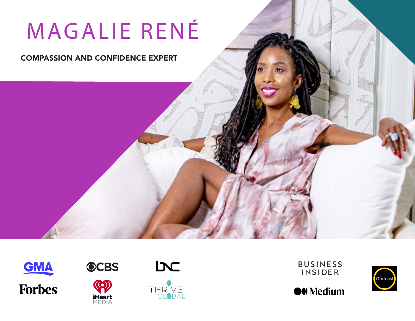# MAGALIE RENÉ

#### COMPASSION AND CONFIDENCE EXPERT





( ( o ) **iHeart**<br>MEDIA





**BUSINESS INSIDER** 

**O**U Medium

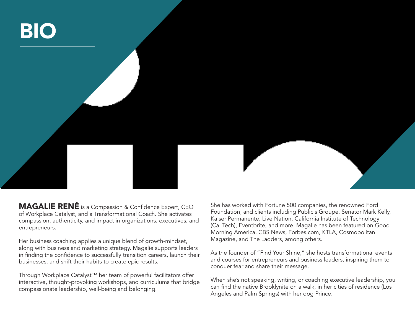

MAGALIE RENÉ is a Compassion & Confidence Expert, CEO of Workplace Catalyst, and a Transformational Coach. She activates compassion, authenticity, and impact in organizations, executives, and entrepreneurs.

Her business coaching applies a unique blend of growth-mindset, along with business and marketing strategy. Magalie supports leaders in finding the confidence to successfully transition careers, launch their businesses, and shift their habits to create epic results.

Through Workplace Catalyst™ her team of powerful facilitators offer interactive, thought-provoking workshops, and curriculums that bridge compassionate leadership, well-being and belonging.

She has worked with Fortune 500 companies, the renowned Ford Foundation, and clients including Publicis Groupe, Senator Mark Kelly, Kaiser Permanente, Live Nation, California Institute of Technology (Cal Tech), Eventbrite, and more. Magalie has been featured on Good Morning America, CBS News, Forbes.com, KTLA, Cosmopolitan Magazine, and The Ladders, among others.

As the founder of "Find Your Shine," she hosts transformational events and courses for entrepreneurs and business leaders, inspiring them to conquer fear and share their message.

When she's not speaking, writing, or coaching executive leadership, you can find the native Brooklynite on a walk, in her cities of residence (Los Angeles and Palm Springs) with her dog Prince.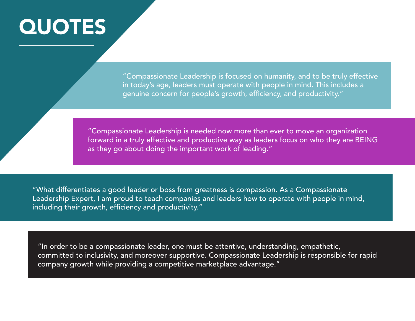# **QUOTES**

"Compassionate Leadership is focused on humanity, and to be truly effective in today's age, leaders must operate with people in mind. This includes a genuine concern for people's growth, efficiency, and productivity."

"Compassionate Leadership is needed now more than ever to move an organization forward in a truly effective and productive way as leaders focus on who they are BEING as they go about doing the important work of leading."

"What differentiates a good leader or boss from greatness is compassion. As a Compassionate Leadership Expert, I am proud to teach companies and leaders how to operate with people in mind, including their growth, efficiency and productivity."

"In order to be a compassionate leader, one must be attentive, understanding, empathetic, committed to inclusivity, and moreover supportive. Compassionate Leadership is responsible for rapid company growth while providing a competitive marketplace advantage."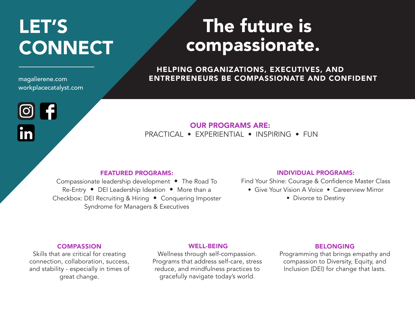## LET'S CONNECT

magalierene.com workplacecatalyst.com

K1

### The future is compassionate.

HELPING ORGANIZATIONS, EXECUTIVES, AND ENTREPRENEURS BE COMPASSIONATE AND CONFIDENT

OUR PROGRAMS ARE: PRACTICAL • EXPERIENTIAL • INSPIRING • FUN

#### FEATURED PROGRAMS:

Compassionate leadership development • The Road To Re-Entry • DEI Leadership Ideation • More than a Checkbox: DEI Recruiting & Hiring • Conquering Imposter Syndrome for Managers & Executives

#### INDIVIDUAL PROGRAMS:

Find Your Shine: Courage & Confidence Master Class

- Give Your Vision A Voice Careerview Mirror
	- Divorce to Destiny

#### **COMPASSION**

Skills that are critical for creating connection, collaboration, success, and stability - especially in times of great change.

#### WELL-BEING

Wellness through self-compassion. Programs that address self-care, stress reduce, and mindfulness practices to gracefully navigate today's world.

#### BELONGING

Programming that brings empathy and compassion to Diversity, Equity, and Inclusion (DEI) for change that lasts.